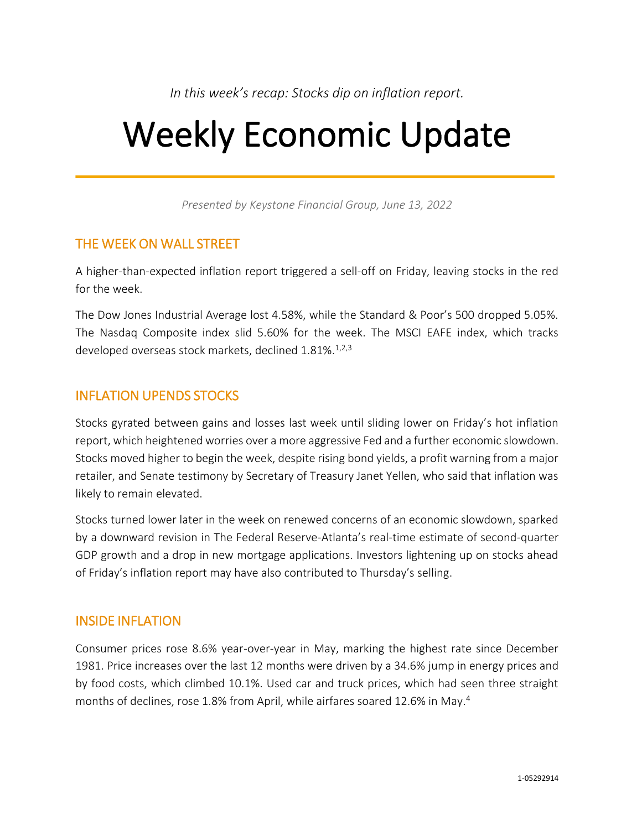*In this week's recap: Stocks dip on inflation report.*

# Weekly Economic Update

*Presented by Keystone Financial Group, June 13, 2022*

# THE WEEK ON WALL STREET

A higher-than-expected inflation report triggered a sell-off on Friday, leaving stocks in the red for the week.

The Dow Jones Industrial Average lost 4.58%, while the Standard & Poor's 500 dropped 5.05%. The Nasdaq Composite index slid 5.60% for the week. The MSCI EAFE index, which tracks developed overseas stock markets, declined 1.81%.<sup>1,2,3</sup>

# INFLATION UPENDS STOCKS

Stocks gyrated between gains and losses last week until sliding lower on Friday's hot inflation report, which heightened worries over a more aggressive Fed and a further economic slowdown. Stocks moved higher to begin the week, despite rising bond yields, a profit warning from a major retailer, and Senate testimony by Secretary of Treasury Janet Yellen, who said that inflation was likely to remain elevated.

Stocks turned lower later in the week on renewed concerns of an economic slowdown, sparked by a downward revision in The Federal Reserve-Atlanta's real-time estimate of second-quarter GDP growth and a drop in new mortgage applications. Investors lightening up on stocks ahead of Friday's inflation report may have also contributed to Thursday's selling.

# INSIDE INFLATION

Consumer prices rose 8.6% year-over-year in May, marking the highest rate since December 1981. Price increases over the last 12 months were driven by a 34.6% jump in energy prices and by food costs, which climbed 10.1%. Used car and truck prices, which had seen three straight months of declines, rose 1.8% from April, while airfares soared 12.6% in May. 4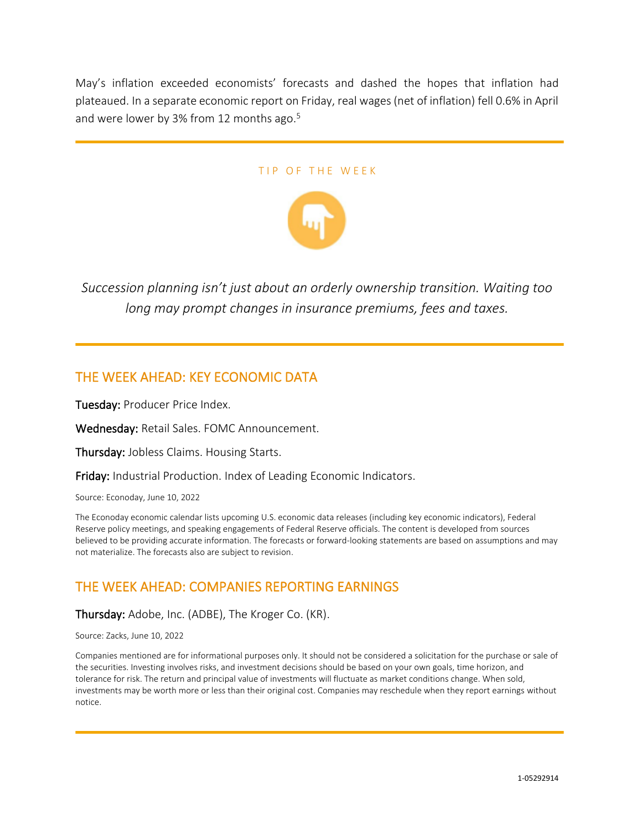May's inflation exceeded economists' forecasts and dashed the hopes that inflation had plateaued. In a separate economic report on Friday, real wages (net of inflation) fell 0.6% in April and were lower by 3% from 12 months ago. 5

### TIP OF THE WEEK



*Succession planning isn't just about an orderly ownership transition. Waiting too long may prompt changes in insurance premiums, fees and taxes.*

### THE WEEK AHEAD: KEY ECONOMIC DATA

Tuesday: Producer Price Index.

Wednesday: Retail Sales. FOMC Announcement.

Thursday: Jobless Claims. Housing Starts.

Friday: Industrial Production. Index of Leading Economic Indicators.

Source: Econoday, June 10, 2022

The Econoday economic calendar lists upcoming U.S. economic data releases (including key economic indicators), Federal Reserve policy meetings, and speaking engagements of Federal Reserve officials. The content is developed from sources believed to be providing accurate information. The forecasts or forward-looking statements are based on assumptions and may not materialize. The forecasts also are subject to revision.

# THE WEEK AHEAD: COMPANIES REPORTING EARNINGS

Thursday: Adobe, Inc. (ADBE), The Kroger Co. (KR).

Source: Zacks, June 10, 2022

Companies mentioned are for informational purposes only. It should not be considered a solicitation for the purchase or sale of the securities. Investing involves risks, and investment decisions should be based on your own goals, time horizon, and tolerance for risk. The return and principal value of investments will fluctuate as market conditions change. When sold, investments may be worth more or less than their original cost. Companies may reschedule when they report earnings without notice.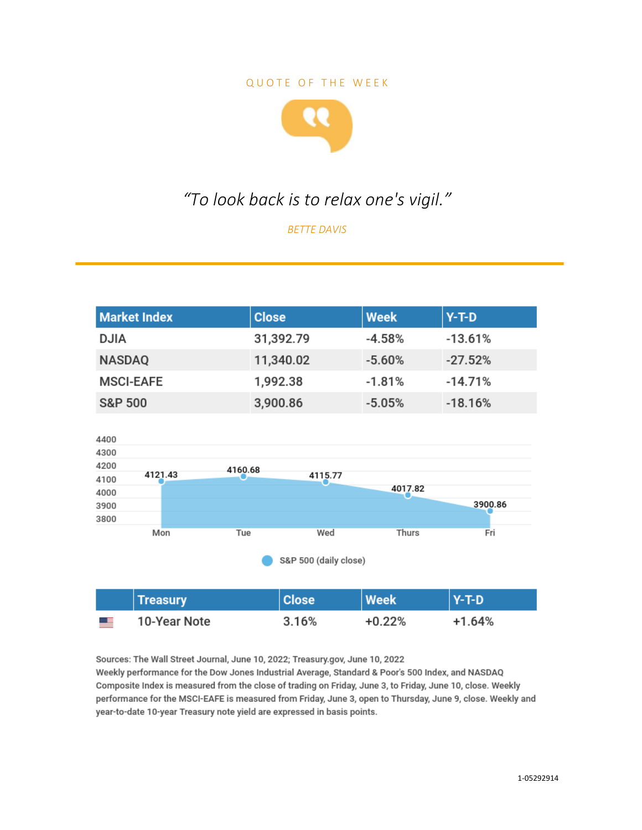### QUOTE OF THE WEEK



# *"To look back is to relax one's vigil."*

*BETTE DAVIS*

| <b>Market Index</b> | <b>Close</b> | Week     | <b>Y-T-D</b> |
|---------------------|--------------|----------|--------------|
| <b>DJIA</b>         | 31,392.79    | $-4.58%$ | $-13.61%$    |
| <b>NASDAQ</b>       | 11,340.02    | $-5.60%$ | $-27.52%$    |
| <b>MSCI-EAFE</b>    | 1,992.38     | $-1.81%$ | $-14.71%$    |
| <b>S&amp;P 500</b>  | 3,900.86     | $-5.05%$ | $-18.16%$    |



Sources: The Wall Street Journal, June 10, 2022; Treasury.gov, June 10, 2022 Weekly performance for the Dow Jones Industrial Average, Standard & Poor's 500 Index, and NASDAQ Composite Index is measured from the close of trading on Friday, June 3, to Friday, June 10, close. Weekly performance for the MSCI-EAFE is measured from Friday, June 3, open to Thursday, June 9, close. Weekly and year-to-date 10-year Treasury note yield are expressed in basis points.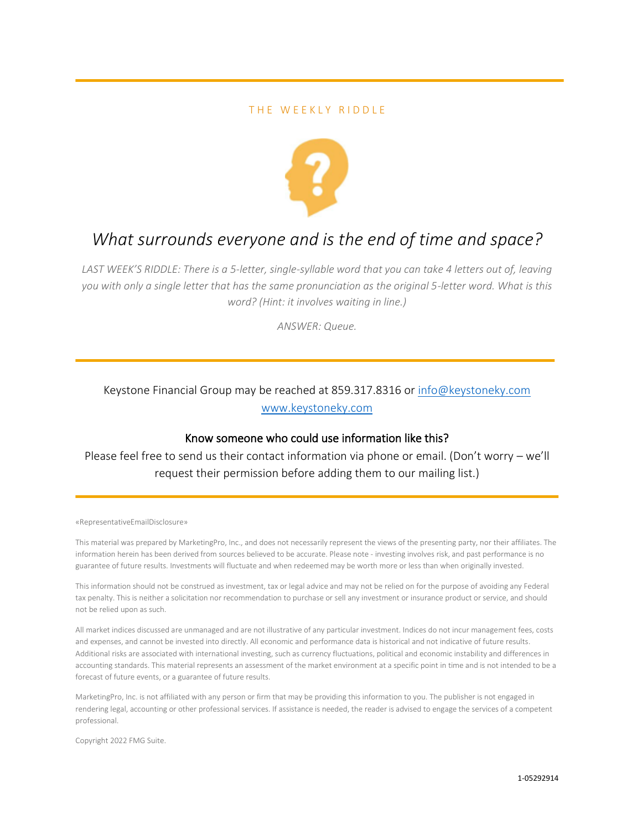### THE WEEKLY RIDDLE



# *What surrounds everyone and is the end of time and space?*

*LAST WEEK'S RIDDLE: There is a 5-letter, single-syllable word that you can take 4 letters out of, leaving you with only a single letter that has the same pronunciation as the original 5-letter word. What is this word? (Hint: it involves waiting in line.)*

*ANSWER: Queue.*

### Keystone Financial Group may be reached at 859.317.8316 or [info@keystoneky.com](mailto:info@keystoneky.com) [www.keystoneky.com](http://www.keystoneky.com/)

### Know someone who could use information like this?

Please feel free to send us their contact information via phone or email. (Don't worry – we'll request their permission before adding them to our mailing list.)

#### «RepresentativeEmailDisclosure»

This material was prepared by MarketingPro, Inc., and does not necessarily represent the views of the presenting party, nor their affiliates. The information herein has been derived from sources believed to be accurate. Please note - investing involves risk, and past performance is no guarantee of future results. Investments will fluctuate and when redeemed may be worth more or less than when originally invested.

This information should not be construed as investment, tax or legal advice and may not be relied on for the purpose of avoiding any Federal tax penalty. This is neither a solicitation nor recommendation to purchase or sell any investment or insurance product or service, and should not be relied upon as such.

All market indices discussed are unmanaged and are not illustrative of any particular investment. Indices do not incur management fees, costs and expenses, and cannot be invested into directly. All economic and performance data is historical and not indicative of future results. Additional risks are associated with international investing, such as currency fluctuations, political and economic instability and differences in accounting standards. This material represents an assessment of the market environment at a specific point in time and is not intended to be a forecast of future events, or a guarantee of future results.

MarketingPro, Inc. is not affiliated with any person or firm that may be providing this information to you. The publisher is not engaged in rendering legal, accounting or other professional services. If assistance is needed, the reader is advised to engage the services of a competent professional.

Copyright 2022 FMG Suite.